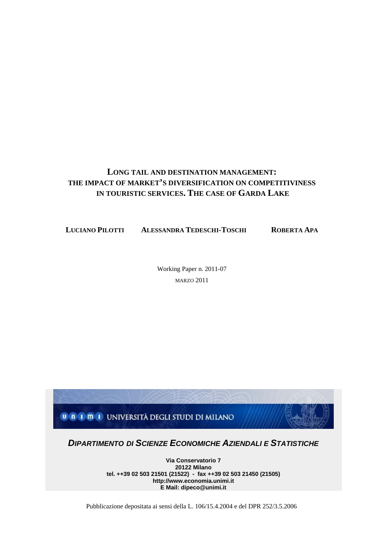# **LONG TAIL AND DESTINATION MANAGEMENT: THE IMPACT OF MARKET'S DIVERSIFICATION ON COMPETITIVINESS IN TOURISTIC SERVICES. THE CASE OF GARDA LAKE**

**LUCIANO PILOTTI ALESSANDRA TEDESCHI-TOSCHI ROBERTA APA** 

Working Paper n. 2011-07 MARZO 2011



**E Mail: dipeco@unimi.it**

Pubblicazione depositata ai sensi della L. 106/15.4.2004 e del DPR 252/3.5.2006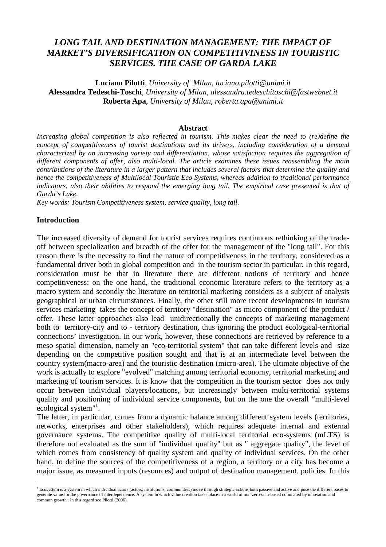# *LONG TAIL AND DESTINATION MANAGEMENT: THE IMPACT OF MARKET'S DIVERSIFICATION ON COMPETITIVINESS IN TOURISTIC SERVICES. THE CASE OF GARDA LAKE*

**Luciano Pilotti**, *University of Milan, luciano.pilotti@unimi.it* **Alessandra Tedeschi-Toschi**, *University of Milan, alessandra.tedeschitoschi@fastwebnet.it* **Roberta Apa**, *University of Milan, roberta.apa@unimi.it* 

#### **Abstract**

*Increasing global competition is also reflected in tourism. This makes clear the need to (re)define the concept of competitiveness of tourist destinations and its drivers, including consideration of a demand characterized by an increasing variety and differentiation, whose satisfaction requires the aggregation of different components af offer, also multi-local. The article examines these issues reassembling the main contributions of the literature in a larger pattern that includes several factors that determine the quality and hence the competitiveness of Multilocal Touristic Eco Systems, whereas addition to traditional performance indicators, also their abilities to respond the emerging long tail. The empirical case presented is that of Garda's Lake.* 

*Key words: Tourism Competitiveness system, service quality, long tail.*

#### **Introduction**

 $\overline{a}$ 

The increased diversity of demand for tourist services requires continuous rethinking of the tradeoff between specialization and breadth of the offer for the management of the "long tail". For this reason there is the necessity to find the nature of competitiveness in the territory, considered as a fundamental driver both in global competition and in the tourism sector in particular. In this regard, consideration must be that in literature there are different notions of territory and hence competitiveness: on the one hand, the traditional economic literature refers to the territory as a macro system and secondly the literature on territorial marketing considers as a subject of analysis geographical or urban circumstances. Finally, the other still more recent developments in tourism services marketing takes the concept of territory "destination" as micro component of the product / offer. These latter approaches also lead unidirectionally the concepts of marketing management both to territory-city and to - territory destination, thus ignoring the product ecological-territorial connections' investigation. In our work, however, these connections are retrieved by reference to a meso spatial dimension, namely an "eco-territorial system" that can take different levels and size depending on the competitive position sought and that is at an intermediate level between the country system(macro-area) and the touristic destination (micro-area). The ultimate objective of the work is actually to explore "evolved" matching among territorial economy, territorial marketing and marketing of tourism services. It is know that the competition in the tourism sector does not only occur between individual players/locations, but increasingly between multi-territorial systems quality and positioning of individual service components, but on the one the overall "multi-level ecological system"<sup>1</sup>.

The latter, in particular, comes from a dynamic balance among different system levels (territories, networks, enterprises and other stakeholders), which requires adequate internal and external governance systems. The competitive quality of multi-local territorial eco-systems (mLTS) is therefore not evaluated as the sum of "individual quality" but as " aggregate quality", the level of which comes from consistency of quality system and quality of individual services. On the other hand, to define the sources of the competitiveness of a region, a territory or a city has become a major issue, as measured inputs (resources) and output of destination management. policies. In this

<sup>&</sup>lt;sup>1</sup> Ecosystem is a system in which individual actors (actors, institutions, communities) move through strategic actions both passive and active and pose the different bases to generate value for the governance of interdependence. A system in which value creation takes place in a world of non-zero-sum-based dominated by innovation and common growth . In this regard see Pilotti (2006)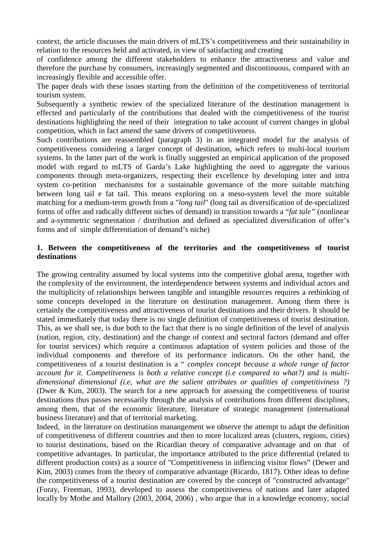context, the article discusses the main drivers of mLTS's competitiveness and their sustainability in relation to the resources held and activated, in view of satisfacting and creating

of confidence among the different stakeholders to enhance the attractiveness and value and therefore the purchase by consumers, increasingly segmented and discontinuous, compared with an increasingly flexible and accessible offer.

The paper deals with these issues starting from the definition of the competitiveness of territorial tourism system.

Subsequently a synthetic rewiev of the specialized literature of the destination management is effected and particularly of the contributions that dealed with the competitiveness of the tourist destinations highlighting the need of their integration to take account of current changes in global competition, which in fact amend the same drivers of competitiveness.

Such contributions are reassembled (paragraph 3) in an integrated model for the analysis of competitiveness considering a larger concept of destination, which refers to multi-local tourism systems. In the latter part of the work is finally suggested an empirical application of the proposed model with regard to mLTS of Garda's Lake highlighting the need to aggregate the various components through meta-organizers, respecting their excellence by developing inter and intra system co-petition mechanisms for a sustainable governance of the more suitable matching between long tail e fat tail. This means exploring on a meso-system level the more suitable matching for a medium-term growth from a "*long tail*" (long tail as diversification of de-specialized forms of offer and radically different niches of demand) in transition towards a "*fat tale"* (nonlinear and a-symmetric segmentation / distribution and defined as specialized diversification of offer's forms and of simple differentiation of demand's niche)

### **1. Between the competitiveness of the territories and the competitiveness of tourist destinations**

The growing centrality assumed by local systems into the competitive global arena, together with the complexity of the environment, the interdependence between systems and individual actors and the multiplicity of relationships between tangible and intangible resources requires a rethinking of some concepts developed in the literature on destination management. Among them there is certainly the competitiveness and attractiveness of tourist destinations and their drivers. It should be stated immediately that today there is no single definition of competitiveness of tourist destination. This, as we shall see, is due both to the fact that there is no single definition of the level of analysis (nation, region, city, destination) and the change of context and sectoral factors (demand and offer for tourist services) which require a continuous adaptation of system policies and those of the individual components and therefore of its performance indicators. On the other hand, the competitiveness of a tourist destination is a " *complex concept because a whole range of factor account for it. Competitveness is both a relative concept (i.e compared to what?) and is multidimensional dimensional (i.e, what are the salient attributes or qualities of competitiviness ?)* (Dwer & Kim, 2003). The search for a new approach for assessing the competitiveness of tourist destinations thus passes necessarily through the analysis of contributions from different disciplines, among them, that of the economic literature, literature of strategic management (international business literature) and that of territorial marketing.

Indeed, in the literature on destination manangement we observe the attempt to adapt the definition of competitiveness of different countries and then to more localized areas (clusters, regions, cities) to tourist destinations, based on the Ricardian theory of comparative advantage and on that of competitive advantages. In particular, the importance attributed to the price differential (related to different production costs) as a source of "Competitiveness in inflencing visitor flows" (Dewer and Kim, 2003) comes from the theory of comparative advantage (Ricardo, 1817). Other ideas to define the competitiveness of a tourist destination are covered by the concept of "constructed advantage" (Foray, Freeman, 1993), developed to assess the competitiveness of nations and later adapted locally by Mothe and Mallory (2003, 2004, 2006) , who argue that in a knowledge economy, social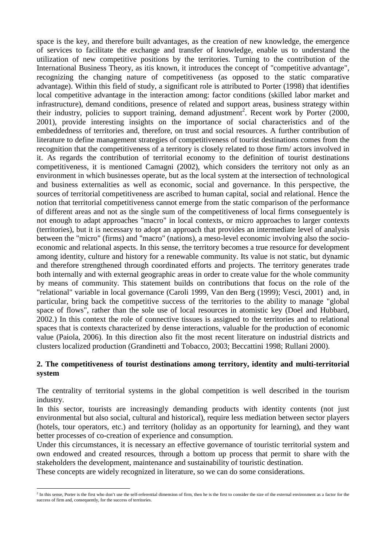space is the key, and therefore built advantages, as the creation of new knowledge, the emergence of services to facilitate the exchange and transfer of knowledge, enable us to understand the utilization of new competitive positions by the territories. Turning to the contribution of the International Business Theory, as itis known, it introduces the concept of "competitive advantage", recognizing the changing nature of competitiveness (as opposed to the static comparative advantage). Within this field of study, a significant role is attributed to Porter (1998) that identifies local competitive advantage in the interaction among: factor conditions (skilled labor market and infrastructure), demand conditions, presence of related and support areas, business strategy within their industry, policies to support training, demand adjustment<sup>2</sup>. Recent work by Porter (2000, 2001), provide interesting insights on the importance of social characteristics and of the embeddedness of territories and, therefore, on trust and social resources. A further contribution of literature to define management strategies of competitiveness of tourist destinations comes from the recognition that the competitiveness of a territory is closely related to those firm/ actors involved in it. As regards the contribution of territorial economy to the definition of tourist destinations competitiveness, it is mentioned Camagni (2002), which considers the territory not only as an environment in which businesses operate, but as the local system at the intersection of technological and business externalities as well as economic, social and governance. In this perspective, the sources of territorial competitiveness are ascribed to human capital, social and relational. Hence the notion that territorial competitiveness cannot emerge from the static comparison of the performance of different areas and not as the single sum of the competitiveness of local firms conseguentely is not enough to adapt approaches "macro" in local contexts, or micro approaches to larger contexts (territories), but it is necessary to adopt an approach that provides an intermediate level of analysis between the "micro" (firms) and "macro" (nations), a meso-level economic involving also the socioeconomic and relational aspects. In this sense, the territory becomes a true resource for development among identity, culture and history for a renewable community. Its value is not static, but dynamic and therefore strengthened through coordinated efforts and projects. The territory generates trade both internally and with external geographic areas in order to create value for the whole community by means of community. This statement builds on contributions that focus on the role of the "relational" variable in local governance (Caroli 1999, Van den Berg (1999); Vesci, 2001) and, in particular, bring back the competitive success of the territories to the ability to manage "global space of flows", rather than the sole use of local resources in atomistic key (Doel and Hubbard, 2002.) In this context the role of connective tissues is assigned to the territories and to relational spaces that is contexts characterized by dense interactions, valuable for the production of economic value (Paiola, 2006). In this direction also fit the most recent literature on industrial districts and clusters localized production (Grandinetti and Tobacco, 2003; Beccattini 1998; Rullani 2000).

### **2. The competitiveness of tourist destinations among territory, identity and multi-territorial system**

The centrality of territorial systems in the global competition is well described in the tourism industry.

In this sector, tourists are increasingly demanding products with identity contents (not just environmental but also social, cultural and historical), require less mediation between sector players (hotels, tour operators, etc.) and territory (holiday as an opportunity for learning), and they want better processes of co-creation of experience and consumption.

Under this circumstances, it is necessary an effective governance of touristic territorial system and own endowed and created resources, through a bottom up process that permit to share with the stakeholders the development, maintenance and sustainability of touristic destination.

These concepts are widely recognized in literature, so we can do some considerations.

<sup>&</sup>lt;sup>2</sup> In this sense, Porter is the first who don't use the self-referential dimension of firm, then he is the first to consider the size of the external environment as a factor for the success of firm and, consequently, for the success of territories.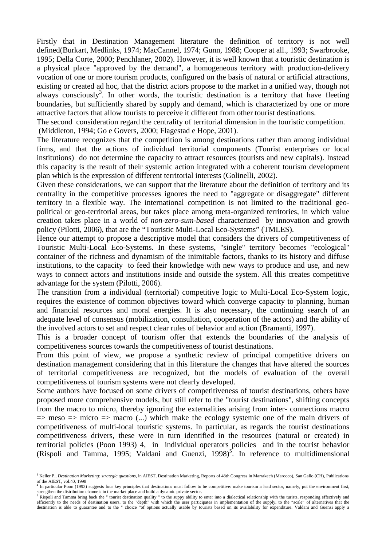Firstly that in Destination Management literature the definition of territory is not well defined(Burkart, Medlinks, 1974; MacCannel, 1974; Gunn, 1988; Cooper at all., 1993; Swarbrooke, 1995; Della Corte, 2000; Penchlaner, 2002). However, it is well known that a touristic destination is a physical place "approved by the demand", a homogeneous territory with production-delivery vocation of one or more tourism products, configured on the basis of natural or artificial attractions, existing or created ad hoc, that the district actors propose to the market in a unified way, though not always consciously<sup>3</sup>. In other words, the touristic destination is a territory that have fleeting boundaries, but sufficiently shared by supply and demand, which is characterized by one or more attractive factors that allow tourists to perceive it different from other tourist destinations.

The second consideration regard the centrality of territorial dimension in the touristic competition. (Middleton, 1994; Go e Govers, 2000; Flagestad e Hope, 2001).

The literature recognizes that the competition is among destinations rather than among individual firms, and that the actions of individual territorial components (Tourist enterprises or local institutions) do not determine the capacity to attract resources (tourists and new capitals). Instead this capacity is the result of their systemic action integrated with a coherent tourism development plan which is the expression of different territorial interests (Golinelli, 2002).

Given these considerations, we can support that the literature about the definition of territory and its centrality in the competitive processes ignores the need to "aggregate or disaggregate" different territory in a flexible way. The international competition is not limited to the traditional geopolitical or geo-territorial areas, but takes place among meta-organized territories, in which value creation takes place in a world of *non-zero-sum-based* characterized by innovation and growth policy (Pilotti, 2006), that are the "Touristic Multi-Local Eco-Systems" (TMLES).

Hence our attempt to propose a descriptive model that considers the drivers of competitiveness of Touristic Multi-Local Eco-Systems. In these systems, "single" territory becomes "ecological" container of the richness and dynamism of the inimitable factors, thanks to its history and diffuse institutions, to the capacity to feed their knowledge with new ways to produce and use, and new ways to connect actors and institutions inside and outside the system. All this creates competitive advantage for the system (Pilotti, 2006).

The transition from a individual (territorial) competitive logic to Multi-Local Eco-System logic, requires the existence of common objectives toward which converge capacity to planning, human and financial resources and moral energies. It is also necessary, the continuing search of an adequate level of consensus (mobilization, consultation, cooperation of the actors) and the ability of the involved actors to set and respect clear rules of behavior and action (Bramanti, 1997).

This is a broader concept of tourism offer that extends the boundaries of the analysis of competitiveness sources towards the competitiveness of tourist destinations.

From this point of view, we propose a synthetic review of principal competitive drivers on destination management considering that in this literature the changes that have altered the sources of territorial competitiveness are recognized, but the models of evaluation of the overall competitiveness of tourism systems were not clearly developed.

Some authors have focused on some drivers of competitiveness of tourist destinations, others have proposed more comprehensive models, but still refer to the "tourist destinations", shifting concepts from the macro to micro, thereby ignoring the externalities arising from inter- connections macro  $\Rightarrow$  meso  $\Rightarrow$  micro  $\Rightarrow$  macro (...) which make the ecology systemic one of the main drivers of competitiveness of multi-local touristic systems. In particular, as regards the tourist destinations competitiveness drivers, these were in turn identified in the resources (natural or created) in territorial policies (Poon 1993) 4, in individual operators policies and in the tourist behavior (Rispoli and Tamma, 1995; Valdani and Guenzi, 1998)<sup>5</sup>. In reference to multidimensional

 $\overline{a}$ 

<sup>&</sup>lt;sup>3</sup> Keller P., *Destination Marketing: strategic questions*, in AIEST, Destination Marketing, Reports of 48th Congress in Marrakech (Marocco), San Gallo (CH), Publications of the AIEST, vol.40, 1998

<sup>&</sup>lt;sup>4</sup> In particular Poon (1993) suggests four key principles that destinations must follow to be competitive: make tourism a lead sector, namely, put the environment first, strengthen the distribution channels in the market place and build a dynamic private sector.

<sup>&</sup>lt;sup>5</sup> Rispoli and Tamma bring back the " tourist destination quality " to the suppy ability to enter into a dialectical relationship with the turists, responding effectively and efficiently to the needs of destination users, to the "depth" with which the user participates in implementation of the supply, to the "scale" of alternatives that the destination is able to guarantee and to the " choice "of options actually usable by tourists based on its availability for expenditure. Valdani and Guenzi apply a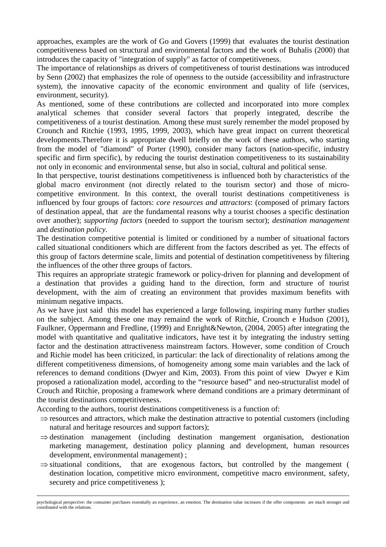approaches, examples are the work of Go and Govers (1999) that evaluates the tourist destination competitiveness based on structural and environmental factors and the work of Buhalis (2000) that introduces the capacity of "integration of supply" as factor of competitiveness.

The importance of relationships as drivers of competitiveness of tourist destinations was introduced by Senn (2002) that emphasizes the role of openness to the outside (accessibility and infrastructure system), the innovative capacity of the economic environment and quality of life (services, environment, security).

As mentioned, some of these contributions are collected and incorporated into more complex analytical schemes that consider several factors that properly integrated, describe the competitiveness of a tourist destination. Among these must surely remember the model proposed by Crounch and Ritchie (1993, 1995, 1999, 2003), which have great impact on current theoretical developments.Therefore it is appropriate dwell briefly on the work of these authors, who starting from the model of "diamond" of Porter (1990), consider many factors (nation-specific, industry specific and firm specific), by reducing the tourist destination competitiveness to its sustainability not only in economic and environmental sense, but also in social, cultural and political sense.

In that perspective, tourist destinations competitiveness is influenced both by characteristics of the global macro environment (not directly related to the tourism sector) and those of microcompetitive environment. In this context, the overall tourist destinations competitiveness is influenced by four groups of factors: *core resources and attractors*: (composed of primary factors of destination appeal, that are the fundamental reasons why a tourist chooses a specific destination over another); *supporting factors* (needed to support the tourism sector); *destination management*  and *destination policy*.

The destination competitive potential is limited or conditioned by a number of situational factors called situational conditioners which are different from the factors described as yet. The effects of this group of factors determine scale, limits and potential of destination competitiveness by filtering the influences of the other three groups of factors.

This requires an appropriate strategic framework or policy-driven for planning and development of a destination that provides a guiding hand to the direction, form and structure of tourist development, with the aim of creating an environment that provides maximum benefits with minimum negative impacts.

As we have just said this model has experienced a large following, inspiring many further studies on the subject. Among these one may remaind the work of Ritchie, Crounch e Hudson (2001), Faulkner, Oppermann and Fredline, (1999) and Enright&Newton, (2004, 2005) after integrating the model with quantitative and qualitative indicators, have test it by integrating the industry setting factor and the destination attractiveness mainstream factors. However, some condition of Crouch and Richie model has been criticized, in particular: the lack of directionality of relations among the different competitiveness dimensions, of homogeneity among some main variables and the lack of references to demand conditions (Dwyer and Kim, 2003). From this point of view Dwyer e Kim proposed a rationalization model, according to the "resource based" and neo-structuralist model of Crouch and Ritchie, proposing a framework where demand conditions are a primary determinant of the tourist destinations competitiveness.

According to the authors, tourist destinations competitiveness is a function of:

- $\Rightarrow$  resources and attractors, which make the destination attractive to potential customers (including natural and heritage resources and support factors);
- $\Rightarrow$  destination management (including destination mangement organisation, destionation marketing management, destination policy planning and development, human resources development, environmental management) ;
- $\Rightarrow$  situational conditions, that are exogenous factors, but controlled by the mangement ( destination location, competitive micro environment, competitive macro environment, safety, securety and price competitiveness );

 $\overline{a}$ psychological perspective: the consumer purchases essentially an experience, an emotion. The destination value increases if the offer components are much stronger and coordinated with the relations.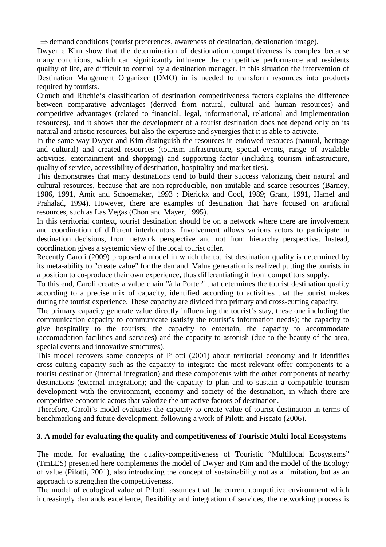$\Rightarrow$  demand conditions (tourist preferences, awareness of destination, destionation image).

Dwyer e Kim show that the determination of destionation competitiveness is complex because many conditions, which can significantly influence the competitive performance and residents quality of life, are difficult to control by a destination manager. In this situation the intervention of Destination Mangement Organizer (DMO) in is needed to transform resources into products required by tourists.

Crouch and Ritchie's classification of destination competitiveness factors explains the difference between comparative advantages (derived from natural, cultural and human resources) and competitive advantages (related to financial, legal, informational, relational and implementation resources), and it shows that the development of a tourist destination does not depend only on its natural and artistic resources, but also the expertise and synergies that it is able to activate.

In the same way Dwyer and Kim distinguish the resources in endowed resouces (natural, heritage and cultural) and created resources (tourism infrastructure, special events, range of available activities, entertainment and shopping) and supporting factor (including tourism infrastructure, quality of service, accessibility of destination, hospitality and market ties).

This demonstrates that many destinations tend to build their success valorizing their natural and cultural resources, because that are non-reproducible, non-imitable and scarce resources (Barney, 1986, 1991, Amit and Schoemaker, 1993 ; Dierickx and Cool, 1989; Grant, 1991, Hamel and Prahalad, 1994). However, there are examples of destination that have focused on artificial resources, such as Las Vegas (Chon and Mayer, 1995).

In this territorial context, tourist destination should be on a network where there are involvement and coordination of different interlocutors. Involvement allows various actors to participate in destination decisions, from network perspective and not from hierarchy perspective. Instead, coordination gives a systemic view of the local tourist offer.

Recently Caroli (2009) proposed a model in which the tourist destination quality is determined by its meta-ability to "create value" for the demand. Value generation is realized putting the tourists in a position to co-produce their own experience, thus differentiating it from competitors supply.

To this end, Caroli creates a value chain "à la Porter" that determines the tourist destination quality according to a precise mix of capacity, identified according to activities that the tourist makes during the tourist experience. These capacity are divided into primary and cross-cutting capacity.

The primary capacity generate value directly influencing the tourist's stay, these one including the communication capacity to communicate (satisfy the tourist's information needs); the capacity to give hospitality to the tourists; the capacity to entertain, the capacity to accommodate (accomodation facilities and services) and the capacity to astonish (due to the beauty of the area, special events and innovative structures).

This model recovers some concepts of Pilotti (2001) about territorial economy and it identifies cross-cutting capacity such as the capacity to integrate the most relevant offer components to a tourist destination (internal integration) and these components with the other components of nearby destinations (external integration); and the capacity to plan and to sustain a compatible tourism development with the environment, economy and society of the destination, in which there are competitive economic actors that valorize the attractive factors of destination.

Therefore, Caroli's model evaluates the capacity to create value of tourist destination in terms of benchmarking and future development, following a work of Pilotti and Fiscato (2006).

## **3. A model for evaluating the quality and competitiveness of Touristic Multi-local Ecosystems**

The model for evaluating the quality-competitiveness of Touristic "Multilocal Ecosystems" (TmLES) presented here complements the model of Dwyer and Kim and the model of the Ecology of value (Pilotti, 2001), also introducing the concept of sustainability not as a limitation, but as an approach to strengthen the competitiveness.

The model of ecological value of Pilotti, assumes that the current competitive environment which increasingly demands excellence, flexibility and integration of services, the networking process is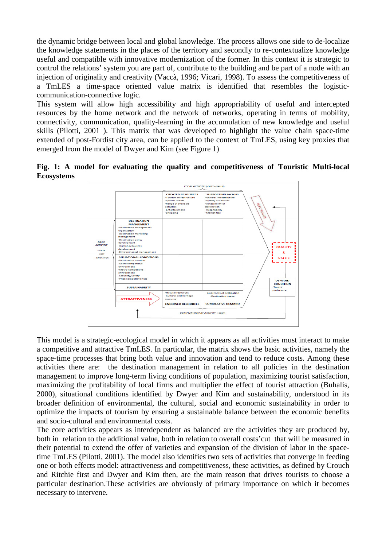the dynamic bridge between local and global knowledge. The process allows one side to de-localize the knowledge statements in the places of the territory and secondly to re-contextualize knowledge useful and compatible with innovative modernization of the former. In this context it is strategic to control the relations' system you are part of, contribute to the building and be part of a node with an injection of originality and creativity (Vaccà, 1996; Vicari, 1998). To assess the competitiveness of a TmLES a time-space oriented value matrix is identified that resembles the logisticcommunication-connective logic.

This system will allow high accessibility and high appropriability of useful and intercepted resources by the home network and the network of networks, operating in terms of mobility, connectivity, communication, quality-learning in the accumulation of new knowledge and useful skills (Pilotti, 2001 ). This matrix that was developed to highlight the value chain space-time extended of post-Fordist city area, can be applied to the context of TmLES, using key proxies that emerged from the model of Dwyer and Kim (see Figure 1)

**Fig. 1: A model for evaluating the quality and competitiveness of Touristic Multi-local Ecosystems**



This model is a strategic-ecological model in which it appears as all activities must interact to make a competitive and attractive TmLES. In particular, the matrix shows the basic activities, namely the space-time processes that bring both value and innovation and tend to reduce costs. Among these activities there are: the destination management in relation to all policies in the destination management to improve long-term living conditions of population, maximizing tourist satisfaction, maximizing the profitability of local firms and multiplier the effect of tourist attraction (Buhalis, 2000), situational conditions identified by Dwyer and Kim and sustainability, understood in its broader definition of environmental, the cultural, social and economic sustainability in order to optimize the impacts of tourism by ensuring a sustainable balance between the economic benefits and socio-cultural and environmental costs.

The core activities appears as interdependent as balanced are the activities they are produced by, both in relation to the additional value, both in relation to overall costs'cut that will be measured in their potential to extend the offer of varieties and expansion of the division of labor in the spacetime TmLES (Pilotti, 2001). The model also identifies two sets of activities that converge in feeding one or both effects model: attractiveness and competitiveness, these activities, as defined by Crouch and Ritchie first and Dwyer and Kim then, are the main reason that drives tourists to choose a particular destination.These activities are obviously of primary importance on which it becomes necessary to intervene.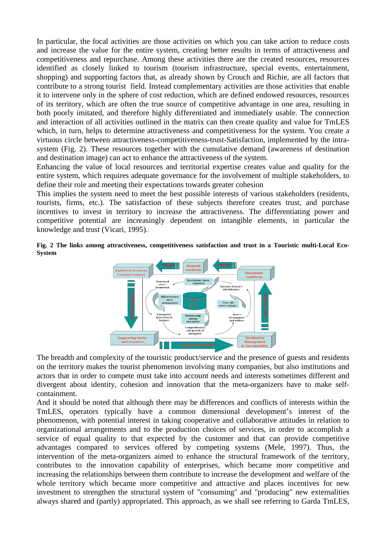In particular, the focal activities are those activities on which you can take action to reduce costs and increase the value for the entire system, creating better results in terms of attractiveness and competitiveness and repurchase. Among these activities there are the created resources, resources identified as closely linked to tourism (tourism infrastructure, special events, entertainment, shopping) and supporting factors that, as already shown by Crouch and Richie, are all factors that contribute to a strong tourist field. Instead complementary activities are those activities that enable it to intervene only in the sphere of cost reduction, which are defined endowed resources, resources of its territory, which are often the true source of competitive advantage in one area, resulting in both poorly imitated, and therefore highly differentiated and immediately usable. The connection and interaction of all activities outlined in the matrix can then create quality and value for TmLES which, in turn, helps to determine attractiveness and competitiveness for the system. You create a virtuous circle between attractiveness-competitiveness-trust-Satisfaction, implemented by the intrasystem (Fig. 2). These resources together with the cumulative demand (awareness of destination and destination image) can act to enhance the attractiveness of the system.

Enhancing the value of local resources and territorial expertise creates value and quality for the entire system, which requires adequate governance for the involvement of multiple stakeholders, to define their role and meeting their expectations towards greater cohesion

This implies the system need to meet the best possible interests of various stakeholders (residents, tourists, firms, etc.). The satisfaction of these subjects therefore creates trust, and purchase incentives to invest in territory to increase the attractiveness. The differentiating power and competitive potential are increasingly dependent on intangible elements, in particular the knowledge and trust (Vicari, 1995).

**Fig. 2 The links among attractiveness, competitiveness satisfaction and trust in a Touristic multi-Local Eco-System** 



The breadth and complexity of the touristic product/service and the presence of guests and residents on the territory makes the tourist phenomenon involving many companies, but also institutions and actors that in order to compete must take into account needs and interests sometimes different and divergent about identity, cohesion and innovation that the meta-organizers have to make selfcontainment.

And it should be noted that although there may be differences and conflicts of interests within the TmLES, operators typically have a common dimensional development's interest of the phenomenon, with potential interest in taking cooperative and collaborative attitudes in relation to organizational arrangements and to the production choices of services, in order to accomplish a service of equal quality to that expected by the customer and that can provide competitive advantages compared to services offered by competing systems (Mele, 1997). Thus, the intervention of the meta-organizers aimed to enhance the structural framework of the territory, contributes to the innovation capability of enterprises, which became more competitive and increasing the relationships between them contribute to increase the development and welfare of the whole territory which became more competitive and attractive and places incentives for new investment to strengthen the structural system of "consuming" and "producing" new externalities always shared and (partly) appropriated. This approach, as we shall see referring to Garda TmLES,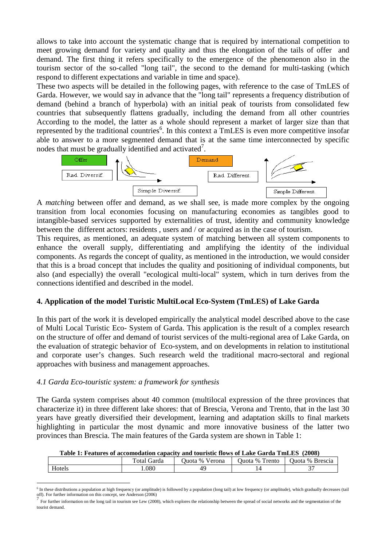allows to take into account the systematic change that is required by international competition to meet growing demand for variety and quality and thus the elongation of the tails of offer and demand. The first thing it refers specifically to the emergence of the phenomenon also in the tourism sector of the so-called "long tail", the second to the demand for multi-tasking (which respond to different expectations and variable in time and space).

These two aspects will be detailed in the following pages, with reference to the case of TmLES of Garda. However, we would say in advance that the "long tail" represents a frequency distribution of demand (behind a branch of hyperbola) with an initial peak of tourists from consolidated few countries that subsequently flattens gradually, including the demand from all other countries According to the model, the latter as a whole should represent a market of larger size than that represented by the traditional countries<sup>6</sup>. In this context a TmLES is even more competitive insofar able to answer to a more segmented demand that is at the same time interconnected by specific nodes that must be gradually identified and activated<sup>7</sup>.



A *matching* between offer and demand, as we shall see, is made more complex by the ongoing transition from local economies focusing on manufacturing economies as tangibles good to intangible-based services supported by externalities of trust, identity and community knowledge between the different actors: residents , users and / or acquired as in the case of tourism.

This requires, as mentioned, an adequate system of matching between all system components to enhance the overall supply, differentiating and amplifying the identity of the individual components. As regards the concept of quality, as mentioned in the introduction, we would consider that this is a broad concept that includes the quality and positioning of individual components, but also (and especially) the overall "ecological multi-local" system, which in turn derives from the connections identified and described in the model.

## **4. Application of the model Turistic MultiLocal Eco-System (TmLES) of Lake Garda**

In this part of the work it is developed empirically the analytical model described above to the case of Multi Local Turistic Eco- System of Garda. This application is the result of a complex research on the structure of offer and demand of tourist services of the multi-regional area of Lake Garda, on the evaluation of strategic behavior of Eco-system, and on developments in relation to institutional and corporate user's changes. Such research weld the traditional macro-sectoral and regional approaches with business and management approaches.

### *4.1 Garda Eco-touristic system: a framework for synthesis*

The Garda system comprises about 40 common (multilocal expression of the three provinces that characterize it) in three different lake shores: that of Brescia, Verona and Trento, that in the last 30 years have greatly diversified their development, learning and adaptation skills to final markets highlighting in particular the most dynamic and more innovative business of the latter two provinces than Brescia. The main features of the Garda system are shown in Table 1:

| Table 1: Features of accomodation capacity and touristic flows of Lake Garda TmLES (2008) |             |                |                |                 |  |
|-------------------------------------------------------------------------------------------|-------------|----------------|----------------|-----------------|--|
|                                                                                           | Total Garda | Ouota % Verona | Ouota % Trento | Ouota % Brescia |  |
| Hotels                                                                                    | .080        | 49             |                |                 |  |

**Table 1: Features of accomodation capacity and touristic flows of Lake Garda TmLES (2008)** 

 $\overline{a}$ <sup>6</sup> In these distributions a population at high frequency (or amplitude) is followed by a population (long tail) at low frequency (or amplitude), which gradually decreases (tail off). For further information on this concept, see Anderson (2006)

<sup>7</sup> For further information on the long tail in tourism see Lew (2008), which explores the relationship between the spread of social networks and the segmentation of the tourist demand.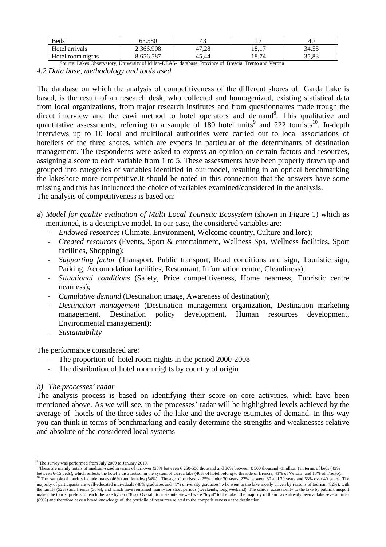| <b>Beds</b>       | 53.580    | 41    | $\overline{ }$ | 40             |
|-------------------|-----------|-------|----------------|----------------|
| Hotel arrivals    | 2.366.908 | .28   | 10.17<br>18.1  | 34.55          |
| Hotel room nigths | .656.587  | 45.44 | 18,74          | 25 O2<br>33.OS |

Source: Lakes Observatory, University of Milan-DEAS- database, Province of Brescia, Trento and Verona *4.2 Data base, methodology and tools used* 

The database on which the analysis of competitiveness of the different shores of Garda Lake is based, is the result of an research desk, who collected and homogenized, existing statistical data from local organizations, from major research institutes and from questionnaires made trough the direct interview and the cawi method to hotel operators and demand<sup>8</sup>. This qualitative and quantitative assessments, referring to a sample of  $180$  hotel units<sup>9</sup> and 222 tourists<sup>10</sup>. In-depth interviews up to 10 local and multilocal authorities were carried out to local associations of hoteliers of the three shores, which are experts in particular of the determinants of destination management. The respondents were asked to express an opinion on certain factors and resources, assigning a score to each variable from 1 to 5. These assessments have been properly drawn up and grouped into categories of variables identified in our model, resulting in an optical benchmarking the lakeshore more competitive.It should be noted in this connection that the answers have some missing and this has influenced the choice of variables examined/considered in the analysis. The analysis of competitiveness is based on:

- a) *Model for quality evaluation of Multi Local Touristic Ecosystem* (shown in Figure 1) which as mentioned, is a descriptive model. In our case, the considered variables are:
	- *Endowed resources* (Climate, Environment, Welcome country, Culture and lore);
	- *Created resources* (Events, Sport & entertainment, Wellness Spa, Wellness facilities, Sport facilities, Shopping);
	- *Supporting factor* (Transport, Public transport, Road conditions and sign, Touristic sign, Parking, Accomodation facilities, Restaurant, Information centre, Cleanliness);
	- *Situational conditions* (Safety, Price competitiveness, Home nearness, Tuoristic centre nearness);
	- *Cumulative demand* (Destination image, Awareness of destination);
	- *Destination management* (Destination management organization, Destination marketing management, Destination policy development, Human resources development, Environmental management);
	- *Sustainability*

The performance considered are:

- The proportion of hotel room nights in the period 2000-2008
- The distribution of hotel room nights by country of origin

# *b) The processes' radar*

The analysis process is based on identifying their score on core activities, which have been mentioned above. As we will see, in the processes' radar will be highlighted levels achieved by the average of hotels of the three sides of the lake and the average estimates of demand. In this way you can think in terms of benchmarking and easily determine the strengths and weaknesses relative and absolute of the considered local systems

 $\overline{a}$ <sup>8</sup> The survey was performed from July 2009 to January 2010.

These are mainly hotels of medium-sized in terms of turnover (38% between  $\epsilon$  250-500 thousand and 30% between  $\epsilon$  500 thousand -1million ) in terms of beds (43%

between 6-15 beds), which reflects the hotel's distribution in the system of Garda lake (46% of hotel belong to the side of Brescia, 41% of Verona and 13% of Trento).<br><sup>10</sup> The sample of tourists include males (46%) and fem majority of participants are well-educated individuals (48% graduates and 41% university graduates) who went to the lake mostly driven by reasons of tourism (82%), with the family (52%) and friends (38%), and which have remained mainly for short periods (weekends, long weekend). The scarce accessibility to the lake by public transport makes the tourist prefers to reach the lake by car (78%). Overall, tourists interviewed were "loyal" to the lake: the majority of them have already been at lake several times (89%) and therefore have a broad knowledge of the portfolio of resources related to the competitiveness of the destination.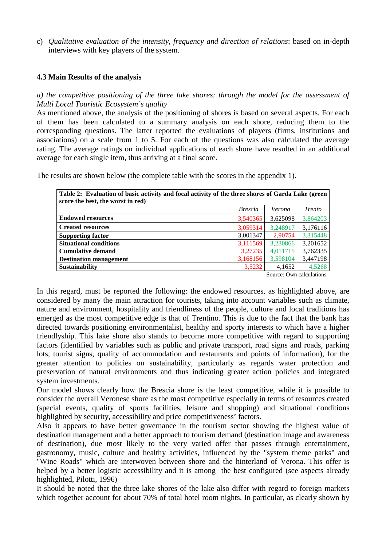c) *Qualitative evaluation of the intensity, frequency and direction of relations*: based on in-depth interviews with key players of the system.

### **4.3 Main Results of the analysis**

*a) the competitive positioning of the three lake shores: through the model for the assessment of Multi Local Touristic Ecosystem's quality* 

As mentioned above, the analysis of the positioning of shores is based on several aspects. For each of them has been calculated to a summary analysis on each shore, reducing them to the corresponding questions. The latter reported the evaluations of players (firms, institutions and associations) on a scale from 1 to 5. For each of the questions was also calculated the average rating. The average ratings on individual applications of each shore have resulted in an additional average for each single item, thus arriving at a final score.

The results are shown below (the complete table with the scores in the appendix 1).

| Table 2: Evaluation of basic activity and focal activity of the three shores of Garda Lake (green<br>score the best, the worst in red) |                |                            |                                                  |  |  |
|----------------------------------------------------------------------------------------------------------------------------------------|----------------|----------------------------|--------------------------------------------------|--|--|
|                                                                                                                                        | <i>Brescia</i> | Verona                     | <i>Trento</i>                                    |  |  |
| <b>Endowed resources</b>                                                                                                               | 3,540365       | 3,625098                   | 3,864203                                         |  |  |
| Created resources                                                                                                                      | 3,059314       | 3.248917                   | 3,176116                                         |  |  |
| <b>Supporting factor</b>                                                                                                               | 3,001347       | 2,90754                    | 3,315448                                         |  |  |
| <b>Situational conditions</b>                                                                                                          | 3,111569       | 3,230866                   | 3,201652                                         |  |  |
| l Cumulative demand                                                                                                                    | 3,27235        | 4,011715                   | 3,762335                                         |  |  |
| <b>Destination management</b>                                                                                                          | 3,168156       | 3,598104                   | 3,447198                                         |  |  |
| <b>Sustainability</b>                                                                                                                  | 3,5232         | 4,1652<br>$\sim$<br>$\sim$ | 4,5268<br>$\mathbf{1}$ $\mathbf{1}$ $\mathbf{1}$ |  |  |

Source: Own calculations

In this regard, must be reported the following: the endowed resources, as highlighted above, are considered by many the main attraction for tourists, taking into account variables such as climate, nature and environment, hospitality and friendliness of the people, culture and local traditions has emerged as the most competitive edge is that of Trentino. This is due to the fact that the bank has directed towards positioning environmentalist, healthy and sporty interests to which have a higher friendlyship. This lake shore also stands to become more competitive with regard to supporting factors (identified by variables such as public and private transport, road signs and roads, parking lots, tourist signs, quality of accommodation and restaurants and points of information), for the greater attention to policies on sustainability, particularly as regards water protection and preservation of natural environments and thus indicating greater action policies and integrated system investments.

Our model shows clearly how the Brescia shore is the least competitive, while it is possible to consider the overall Veronese shore as the most competitive especially in terms of resources created (special events, quality of sports facilities, leisure and shopping) and situational conditions highlighted by security, accessibility and price competitiveness' factors.

Also it appears to have better governance in the tourism sector showing the highest value of destination management and a better approach to tourism demand (destination image and awareness of destination), due most likely to the very varied offer that passes through entertainment, gastronomy, music, culture and healthy activities, influenced by the "system theme parks" and "Wine Roads" which are interwoven between shore and the hinterland of Verona. This offer is helped by a better logistic accessibility and it is among the best configured (see aspects already highlighted, Pilotti, 1996)

It should be noted that the three lake shores of the lake also differ with regard to foreign markets which together account for about 70% of total hotel room nights. In particular, as clearly shown by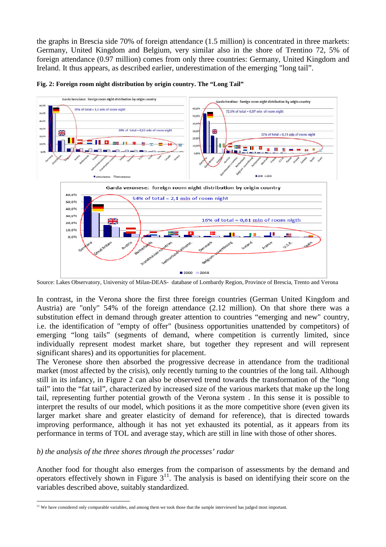the graphs in Brescia side 70% of foreign attendance (1.5 million) is concentrated in three markets: Germany, United Kingdom and Belgium, very similar also in the shore of Trentino 72, 5% of foreign attendance (0.97 million) comes from only three countries: Germany, United Kingdom and Ireland. It thus appears, as described earlier, underestimation of the emerging "long tail".



#### **Fig. 2: Foreign room night distribution by origin country. The "Long Tail"**

Source: Lakes Observatory, University of Milan-DEAS- database of Lombardy Region, Province of Brescia, Trento and Verona

In contrast, in the Verona shore the first three foreign countries (German United Kingdom and Austria) are "only" 54% of the foreign attendance (2.12 million). On that shore there was a substitution effect in demand through greater attention to countries "emerging and new" country, i.e. the identification of "empty of offer" (business opportunities unattended by competitors) of emerging "long tails" (segments of demand, where competition is currently limited, since individually represent modest market share, but together they represent and will represent significant shares) and its opportunities for placement.

The Veronese shore then absorbed the progressive decrease in attendance from the traditional market (most affected by the crisis), only recently turning to the countries of the long tail. Although still in its infancy, in Figure 2 can also be observed trend towards the transformation of the "long tail" into the "fat tail", characterized by increased size of the various markets that make up the long tail, representing further potential growth of the Verona system . In this sense it is possible to interpret the results of our model, which positions it as the more competitive shore (even given its larger market share and greater elasticity of demand for reference), that is directed towards improving performance, although it has not yet exhausted its potential, as it appears from its performance in terms of TOL and average stay, which are still in line with those of other shores.

### *b) the analysis of the three shores through the processes' radar*

Another food for thought also emerges from the comparison of assessments by the demand and operators effectively shown in Figure  $3<sup>11</sup>$ . The analysis is based on identifying their score on the variables described above, suitably standardized.

 $\overline{a}$ <sup>11</sup> We have considered only comparable variables, and among them we took those that the sample interviewed has judged most important.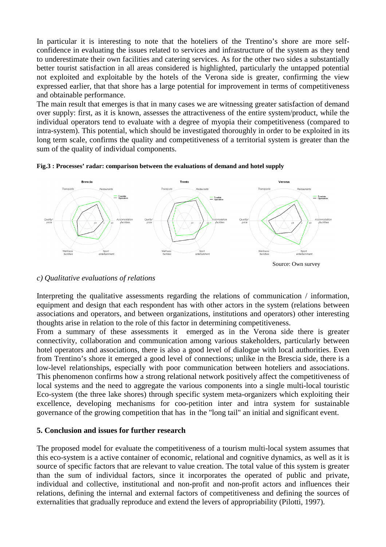In particular it is interesting to note that the hoteliers of the Trentino's shore are more selfconfidence in evaluating the issues related to services and infrastructure of the system as they tend to underestimate their own facilities and catering services. As for the other two sides a substantially better tourist satisfaction in all areas considered is highlighted, particularly the untapped potential not exploited and exploitable by the hotels of the Verona side is greater, confirming the view expressed earlier, that that shore has a large potential for improvement in terms of competitiveness and obtainable performance.

The main result that emerges is that in many cases we are witnessing greater satisfaction of demand over supply: first, as it is known, assesses the attractiveness of the entire system/product, while the individual operators tend to evaluate with a degree of myopia their competitiveness (compared to intra-system). This potential, which should be investigated thoroughly in order to be exploited in its long term scale, confirms the quality and competitiveness of a territorial system is greater than the sum of the quality of individual components.





### *c) Qualitative evaluations of relations*

Interpreting the qualitative assessments regarding the relations of communication / information, equipment and design that each respondent has with other actors in the system (relations between associations and operators, and between organizations, institutions and operators) other interesting thoughts arise in relation to the role of this factor in determining competitiveness.

From a summary of these assessments it emerged as in the Verona side there is greater connectivity, collaboration and communication among various stakeholders, particularly between hotel operators and associations, there is also a good level of dialogue with local authorities. Even from Trentino's shore it emerged a good level of connections; unlike in the Brescia side, there is a low-level relationships, especially with poor communication between hoteliers and associations. This phenomenon confirms how a strong relational network positively affect the competitiveness of local systems and the need to aggregate the various components into a single multi-local touristic Eco-system (the three lake shores) through specific system meta-organizers which exploiting their excellence, developing mechanisms for coo-petition inter and intra system for sustainable governance of the growing competition that has in the "long tail" an initial and significant event.

### **5. Conclusion and issues for further research**

The proposed model for evaluate the competitiveness of a tourism multi-local system assumes that this eco-system is a active container of economic, relational and cognitive dynamics, as well as it is source of specific factors that are relevant to value creation. The total value of this system is greater than the sum of individual factors, since it incorporates the operated of public and private, individual and collective, institutional and non-profit and non-profit actors and influences their relations, defining the internal and external factors of competitiveness and defining the sources of externalities that gradually reproduce and extend the levers of appropriability (Pilotti, 1997).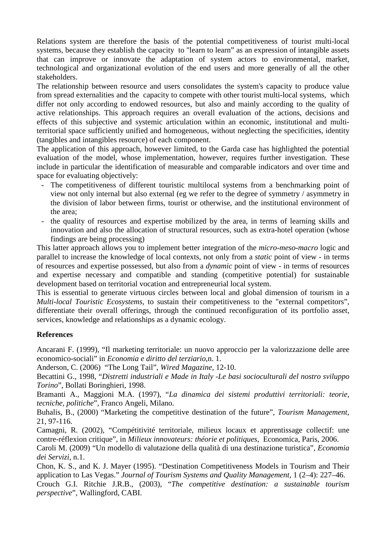Relations system are therefore the basis of the potential competitiveness of tourist multi-local systems, because they establish the capacity to "learn to learn" as an expression of intangible assets that can improve or innovate the adaptation of system actors to environmental, market, technological and organizational evolution of the end users and more generally of all the other stakeholders.

The relationship between resource and users consolidates the system's capacity to produce value from spread externalities and the capacity to compete with other tourist multi-local systems, which differ not only according to endowed resources, but also and mainly according to the quality of active relationships. This approach requires an overall evaluation of the actions, decisions and effects of this subjective and systemic articulation within an economic, institutional and multiterritorial space sufficiently unified and homogeneous, without neglecting the specificities, identity (tangibles and intangibles resource) of each component.

The application of this approach, however limited, to the Garda case has highlighted the potential evaluation of the model, whose implementation, however, requires further investigation. These include in particular the identification of measurable and comparable indicators and over time and space for evaluating objectively:

- The competitiveness of different touristic multilocal systems from a benchmarking point of view not only internal but also external (eg we refer to the degree of symmetry / asymmetry in the division of labor between firms, tourist or otherwise, and the institutional environment of the area;
- the quality of resources and expertise mobilized by the area, in terms of learning skills and innovation and also the allocation of structural resources, such as extra-hotel operation (whose findings are being processing)

This latter approach allows you to implement better integration of the *micro-meso-macro* logic and parallel to increase the knowledge of local contexts, not only from a *static* point of view - in terms of resources and expertise possessed, but also from a *dynamic* point of view - in terms of resources and expertise necessary and compatible and standing (competitive potential) for sustainable development based on territorial vocation and entrepreneurial local system.

This is essential to generate virtuous circles between local and global dimension of tourism in a *Multi-local Touristic Ecosystems*, to sustain their competitiveness to the "external competitors", differentiate their overall offerings, through the continued reconfiguration of its portfolio asset, services, knowledge and relationships as a dynamic ecology.

## **References**

Ancarani F. (1999), "Il marketing territoriale: un nuovo approccio per la valorizzazione delle aree economico-sociali" in *Economia e diritto del terziario*,n. 1.

Anderson, C. (2006) "The Long Tail", *Wired Magazine*, 12-10.

Becattini G., 1998, "*Distretti industriali e Made in Italy -Le basi socioculturali del nostro sviluppo Torino*", Bollati Boringhieri, 1998.

Bramanti A., Maggioni M.A. (1997), "*La dinamica dei sistemi produttivi territoriali: teorie, tecniche, politiche*"*,* Franco Angeli, Milano.

Buhalis, B., (2000) "Marketing the competitive destination of the future", *Tourism Management*, 21, 97-116.

Camagni, R. (2002), "Compétitivité territoriale, milieux locaux et apprentissage collectif: une contre-réflexion critique", in *Milieux innovateurs: théorie et politiques*, Economica, Paris, 2006.

Caroli M. (2009) "Un modello di valutazione della qualità di una destinazione turistica", *Economia dei Servizi*, n.1.

Chon, K. S., and K. J. Mayer (1995). "Destination Competitiveness Models in Tourism and Their application to Las Vegas." *Journal of Tourism Systems and Quality Management*, 1 (2–4): 227–46.

Crouch G.I. Ritchie J.R.B., (2003), "*The competitive destination: a sustainable tourism perspective*", Wallingford, CABI.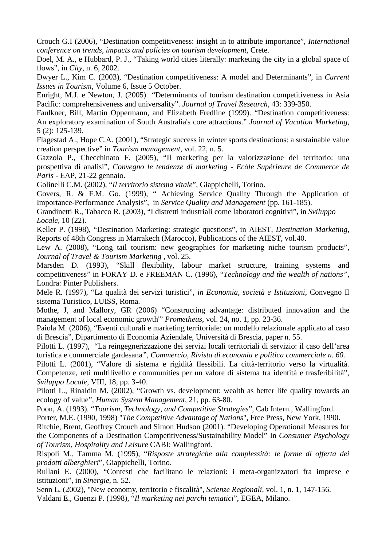Crouch G.I (2006), "Destination competitiveness: insight in to attribute importance", *International conference on trends, impacts and policies on tourism development,* Crete.

Doel, M. A., e Hubbard, P. J., "Taking world cities literally: marketing the city in a global space of flows", in *City*, n. 6, 2002.

Dwyer L., Kim C. (2003), "Destination competitiveness: A model and Determinants", in *Current Issues in Tourism*, Volume 6, Issue 5 October.

Enright, M.J. e Newton, J. (2005) "Determinants of tourism destination competitiveness in Asia Pacific: comprehensiveness and universality". *Journal of Travel Research*, 43: 339-350.

Faulkner, Bill, Martin Oppermann, and Elizabeth Fredline (1999). "Destination competitiveness: An exploratory examination of South Australia's core attractions." *Journal of Vacation Marketing*, 5 (2): 125-139.

Flagestad A., Hope C.A. (2001), "Strategic success in winter sports destinations: a sustainable value creation perspective" in *Tourism management*, vol. 22, n. 5.

Gazzola P., Checchinato F. (2005), "Il marketing per la valorizzazione del territorio: una prospettiva di analisi", *Convegno le tendenze di marketing - Ecòle Supérieure de Commerce de Paris* - EAP, 21-22 gennaio.

Golinelli C.M. (2002), "*Il territorio sistema vitale*", Giappichelli, Torino.

Govers, R. & F.M. Go. (1999), " Achieving Service Quality Through the Application of Importance-Performance Analysis", in *Service Quality and Management* (pp. 161-185).

Grandinetti R., Tabacco R. (2003), "I distretti industriali come laboratori cognitivi", in *Sviluppo Locale*, 10 (22).

Keller P. (1998), "Destination Marketing: strategic questions", in AIEST, *Destination Marketing*, Reports of 48th Congress in Marrakech (Marocco), Publications of the AIEST, vol.40.

Lew A. (2008), "Long tail tourism: new geographies for marketing niche tourism products", *Journal of Travel & Tourism Marketing* , vol. 25.

Marsden D. (1993), "Skill flexibility, labour market structure, training systems and competitiveness" in FORAY D. e FREEMAN C. (1996), "*Technology and the wealth of nations",* Londra: Pinter Publishers.

Mele R. (1997), "La qualità dei servizi turistici", *in Economia, società e Istituzioni*, Convegno Il sistema Turistico, LUISS, Roma.

Mothe, J, and Mallory, GR (2006) "Constructing advantage: distributed innovation and the management of local economic growth'" *Prometheus*, vol. 24, no. 1, pp. 23-36.

Paiola M. (2006), "Eventi culturali e marketing territoriale: un modello relazionale applicato al caso di Brescia", Dipartimento di Economia Aziendale, Università di Brescia, paper n. 55.

Pilotti L. (1997), "La reingegnerizzazione dei servizi locali territoriali di servizio: il caso dell'area turistica e commerciale gardesana*"*, *Commercio, Rivista di economia e politica commerciale n. 60.*

Pilotti L. (2001), "Valore di sistema e rigidità flessibili. La città-territorio verso la virtualità. Competenze, reti multilivello e communities per un valore di sistema tra identità e trasferibilità", *Sviluppo Locale,* VIII, 18, pp. 3-40.

Pilotti L., Rinaldin M. (2002), "Growth vs. development: wealth as better life quality towards an ecology of value", *Human System Management*, 21, pp. 63-80.

Poon, A. (1993). "*Tourism, Technology, and Competitive Strategies*", Cab Intern., Wallingford.

Porter, M.E. (1990, 1998) "*The Competitive Advantage of Nations*", Free Press, New York, 1990.

Ritchie, Brent, Geoffrey Crouch and Simon Hudson (2001). "Developing Operational Measures for the Components of a Destination Competitiveness/Sustainability Model" In *Consumer Psychology of Tourism, Hospitality and Leisure* CABI: Wallingford.

Rispoli M., Tamma M. (1995), "*Risposte strategiche alla complessità: le forme di offerta dei prodotti alberghieri*", Giappichelli, Torino.

Rullani E. (2000), "Contesti che facilitano le relazioni: i meta-organizzatori fra imprese e istituzioni", in *Sinergie*, n. 52.

Senn L. (2002), "New economy, territorio e fiscalità", *Scienze Regionali*, vol. 1, n. 1, 147-156. Valdani E., Guenzi P. (1998), "*Il marketing nei parchi tematici*", EGEA, Milano.